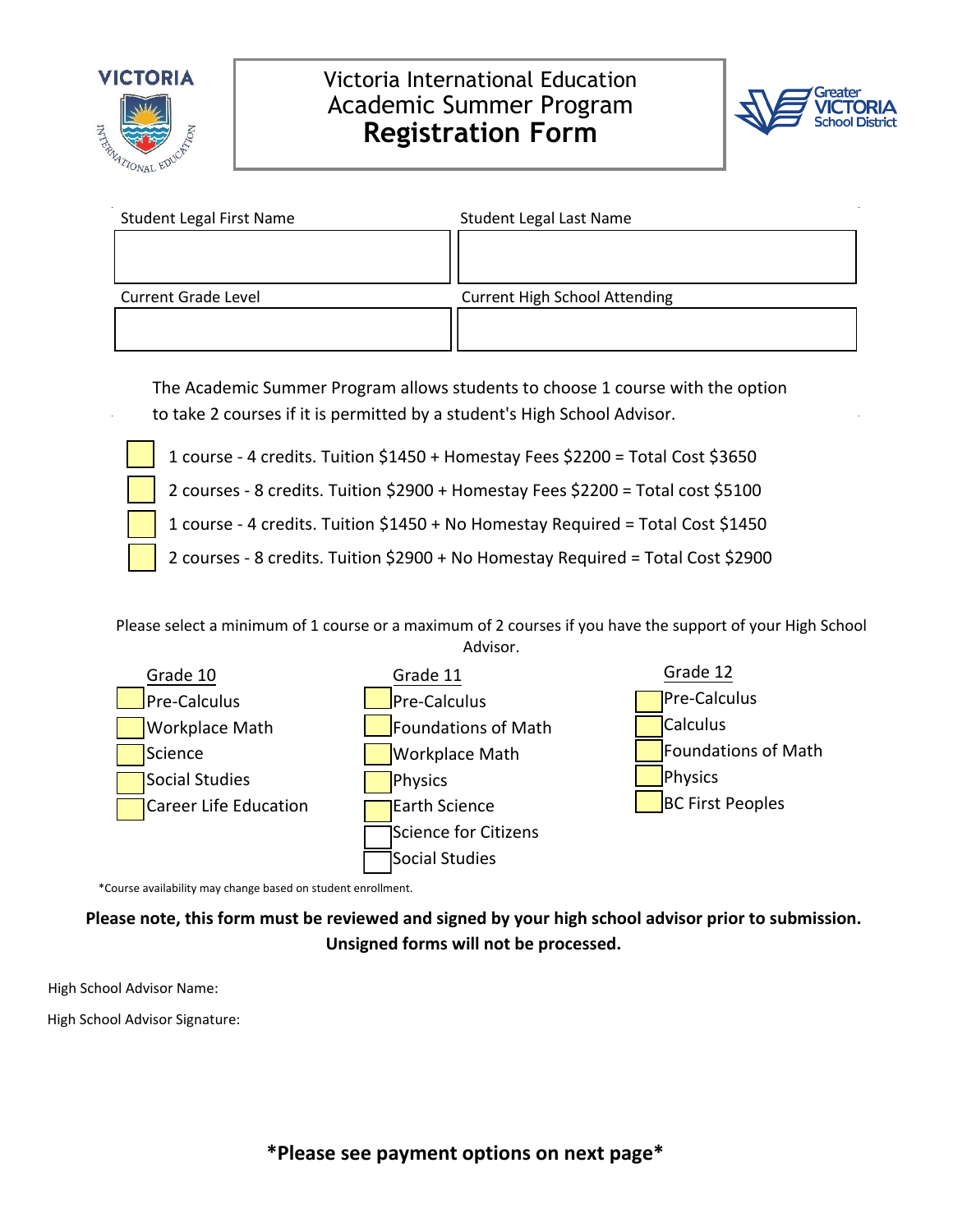

## Victoria International Education Academic Summer Program **Registration Form**



| <b>Student Legal First Name</b> | <b>Student Legal Last Name</b>       |
|---------------------------------|--------------------------------------|
|                                 |                                      |
|                                 |                                      |
| <b>Current Grade Level</b>      | <b>Current High School Attending</b> |
|                                 |                                      |
|                                 |                                      |

The Academic Summer Program allows students to choose 1 course with the option to take 2 courses if it is permitted by a student's High School Advisor.

1 course - 4 credits. Tuition \$1450 + Homestay Fees \$2200 = Total Cost \$3650

2 courses - 8 credits. Tuition \$2900 + Homestay Fees \$2200 = Total cost \$5100

1 course - 4 credits. Tuition \$1450 + No Homestay Required = Total Cost \$1450

2 courses - 8 credits. Tuition \$2900 + No Homestay Required = Total Cost \$2900

Please select a minimum of 1 course or a maximum of 2 courses if you have the support of your High School Advisor.



\*Course availability may change based on student enrollment.

**Please note, this form must be reviewed and signed by your high school advisor prior to submission. Unsigned forms will not be processed.**

High School Advisor Name:

High School Advisor Signature: